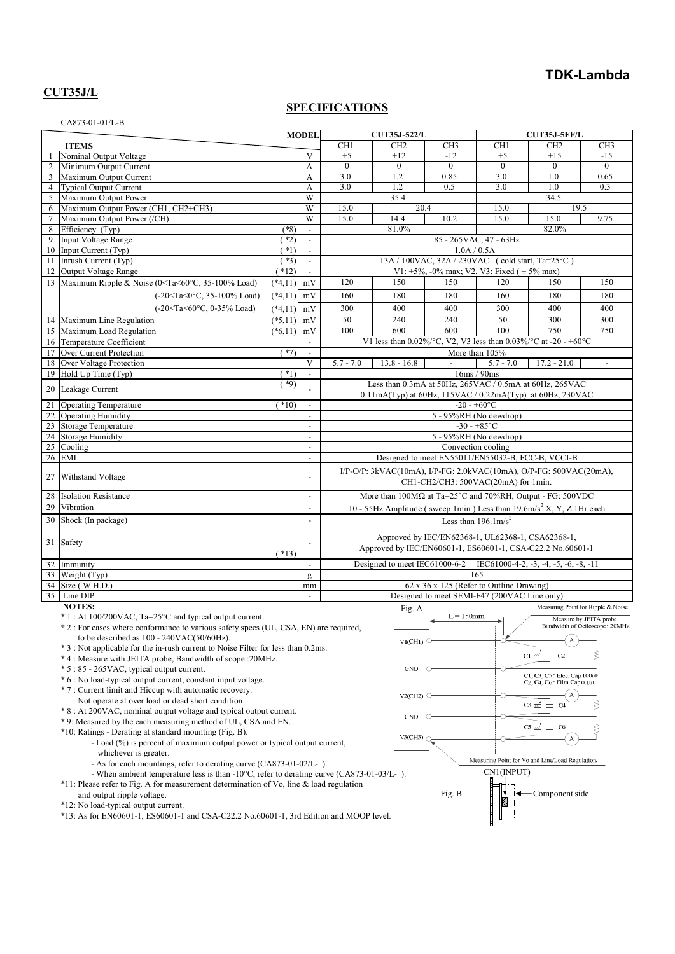# **TDK-Lambda**

### **CUT35J/L**

CA873-01-01/L-B

#### **SPECIFICATIONS**

|                 |                                                                                                                                                                                               | <b>CUT35J-522/L</b><br><b>MODEL</b>                                                                       |                          |                                                                                                                 | CUT35J-5FF/L                  |                                                                                 |                 |                                                        |                                                               |
|-----------------|-----------------------------------------------------------------------------------------------------------------------------------------------------------------------------------------------|-----------------------------------------------------------------------------------------------------------|--------------------------|-----------------------------------------------------------------------------------------------------------------|-------------------------------|---------------------------------------------------------------------------------|-----------------|--------------------------------------------------------|---------------------------------------------------------------|
|                 | <b>ITEMS</b>                                                                                                                                                                                  |                                                                                                           |                          | CH1                                                                                                             | CH <sub>2</sub>               | CH <sub>3</sub>                                                                 | CH <sub>1</sub> | CH <sub>2</sub>                                        | CH <sub>3</sub>                                               |
| $\overline{1}$  | Nominal Output Voltage                                                                                                                                                                        |                                                                                                           | V                        | $+5$                                                                                                            | $+12$                         | $-12$                                                                           | $+5$            | $+15$                                                  | $-1.5$                                                        |
| $\overline{2}$  | Minimum Output Current                                                                                                                                                                        |                                                                                                           | A                        | $\theta$                                                                                                        | $\mathbf{0}$                  | $\theta$                                                                        | $\theta$        | $\mathbf{0}$                                           | $\theta$                                                      |
| $\overline{3}$  | Maximum Output Current                                                                                                                                                                        |                                                                                                           | A                        | 3.0                                                                                                             | 1.2                           | 0.85                                                                            | 3.0             | 1.0                                                    | 0.65                                                          |
| $\overline{4}$  | <b>Typical Output Current</b>                                                                                                                                                                 |                                                                                                           | A                        | 3.0                                                                                                             | 1.2                           | 0.5                                                                             | 3.0             | 1.0                                                    | 0.3                                                           |
| 5               | Maximum Output Power                                                                                                                                                                          |                                                                                                           | W                        |                                                                                                                 | 35.4                          |                                                                                 |                 | 34.5                                                   |                                                               |
| 6               | Maximum Output Power (CH1, CH2+CH3)                                                                                                                                                           |                                                                                                           | W                        | 15.0                                                                                                            | 20.4                          |                                                                                 | 15.0            | 19.5                                                   |                                                               |
| $7\phantom{.0}$ | Maximum Output Power (/CH)                                                                                                                                                                    |                                                                                                           | W                        | 15.0                                                                                                            | 14.4                          | 10.2                                                                            | 15.0            | 15.0                                                   | 9.75                                                          |
| 8               | Efficiency (Typ)                                                                                                                                                                              | $(*8)$                                                                                                    | $\overline{\phantom{a}}$ |                                                                                                                 | 81.0%                         |                                                                                 |                 | 82.0%                                                  |                                                               |
| $\mathbf{Q}$    | Input Voltage Range                                                                                                                                                                           | $*2)$                                                                                                     | $\overline{a}$           |                                                                                                                 |                               | 85 - 265 VAC, 47 - 63 Hz                                                        |                 |                                                        |                                                               |
|                 | 10 Input Current (Typ)                                                                                                                                                                        | $(*1)$                                                                                                    | $\mathbf{r}$             |                                                                                                                 |                               | 1.0A / 0.5A                                                                     |                 |                                                        |                                                               |
| 11              | Inrush Current (Typ)                                                                                                                                                                          | $*3)$                                                                                                     | $\overline{\phantom{a}}$ |                                                                                                                 |                               | 13A / 100VAC, 32A / 230VAC (cold start, Ta=25°C)                                |                 |                                                        |                                                               |
|                 | 12 Output Voltage Range                                                                                                                                                                       | $(*12)$                                                                                                   | $\overline{a}$           |                                                                                                                 |                               | V1: $+5\%$ , -0% max; V2, V3: Fixed ( $\pm 5\%$ max)                            |                 |                                                        |                                                               |
|                 | 13 Maximum Ripple & Noise (0 <ta<60°c, 35-100%="" load)<="" td=""><td><math>(*4,11)</math></td><td>mV</td><td>120</td><td>150</td><td>150</td><td>120</td><td>150</td><td>150</td></ta<60°c,> | $(*4,11)$                                                                                                 | mV                       | 120                                                                                                             | 150                           | 150                                                                             | 120             | 150                                                    | 150                                                           |
|                 | $(-20 < Ta < 0$ °C, 35-100% Load)                                                                                                                                                             | $(*4,11)$                                                                                                 | mV                       | 160                                                                                                             | 180                           | 180                                                                             | 160             | 180                                                    | 180                                                           |
|                 | (-20 <ta<60°c, 0-35%="" load)<="" td=""><td><math>(*4,11)</math></td><td>mV</td><td>300</td><td>400</td><td>400</td><td>300</td><td>400</td><td>400</td></ta<60°c,>                           | $(*4,11)$                                                                                                 | mV                       | 300                                                                                                             | 400                           | 400                                                                             | 300             | 400                                                    | 400                                                           |
|                 | 14 Maximum Line Regulation                                                                                                                                                                    | $(*5,11)$                                                                                                 | mV                       | 50                                                                                                              | 240                           | 240                                                                             | 50              | 300                                                    | 300                                                           |
|                 | 15 Maximum Load Regulation                                                                                                                                                                    | $(*6,11)$                                                                                                 | mV                       | 100                                                                                                             | 600                           | 600                                                                             | 100             | 750                                                    | 750                                                           |
|                 | 16 Temperature Coefficient                                                                                                                                                                    |                                                                                                           |                          |                                                                                                                 |                               | V1 less than 0.02%/°C, V2, V3 less than 0.03%/°C at -20 - +60°C                 |                 |                                                        |                                                               |
|                 | 17 Over Current Protection                                                                                                                                                                    | $*7)$                                                                                                     |                          |                                                                                                                 |                               | More than 105%                                                                  |                 |                                                        |                                                               |
|                 | 18 Over Voltage Protection                                                                                                                                                                    |                                                                                                           | V                        | $5.7 - 7.0$                                                                                                     | $13.8 - 16.8$                 |                                                                                 | $5.7 - 7.0$     | $17.2 - 21.0$                                          |                                                               |
|                 | 19 Hold Up Time (Typ)                                                                                                                                                                         | $*1$                                                                                                      |                          |                                                                                                                 |                               |                                                                                 | 16ms / 90ms     |                                                        |                                                               |
|                 |                                                                                                                                                                                               | $(*9)$                                                                                                    |                          |                                                                                                                 |                               | Less than 0.3mA at 50Hz, 265VAC / 0.5mA at 60Hz, 265VAC                         |                 |                                                        |                                                               |
|                 | 20 Leakage Current                                                                                                                                                                            |                                                                                                           |                          |                                                                                                                 |                               | 0.11mA(Typ) at 60Hz, 115VAC / 0.22mA(Typ) at 60Hz, 230VAC                       |                 |                                                        |                                                               |
| $\overline{21}$ | <b>Operating Temperature</b>                                                                                                                                                                  | $*10$                                                                                                     | $\overline{\phantom{a}}$ |                                                                                                                 |                               | $-20 - +60$ °C                                                                  |                 |                                                        |                                                               |
|                 | 22 Operating Humidity                                                                                                                                                                         |                                                                                                           |                          |                                                                                                                 |                               | 5 - 95%RH (No dewdrop)                                                          |                 |                                                        |                                                               |
|                 | 23 Storage Temperature                                                                                                                                                                        |                                                                                                           | $\overline{\phantom{a}}$ |                                                                                                                 |                               |                                                                                 | $-30 - +85$ °C  |                                                        |                                                               |
| 24              | <b>Storage Humidity</b>                                                                                                                                                                       |                                                                                                           | $\overline{a}$           |                                                                                                                 |                               | 5 - 95%RH (No dewdrop)                                                          |                 |                                                        |                                                               |
| 25              | Cooling                                                                                                                                                                                       |                                                                                                           | $\overline{\phantom{a}}$ |                                                                                                                 |                               | Convection cooling                                                              |                 |                                                        |                                                               |
| 26              | <b>EMI</b>                                                                                                                                                                                    |                                                                                                           | $\overline{\phantom{a}}$ |                                                                                                                 |                               | Designed to meet EN55011/EN55032-B, FCC-B, VCCI-B                               |                 |                                                        |                                                               |
| 27              | Withstand Voltage                                                                                                                                                                             | I/P-O/P: 3kVAC(10mA), I/P-FG: 2.0kVAC(10mA), O/P-FG: 500VAC(20mA),<br>CH1-CH2/CH3: 500VAC(20mA) for 1min. |                          |                                                                                                                 |                               |                                                                                 |                 |                                                        |                                                               |
| 28              | <b>Isolation Resistance</b>                                                                                                                                                                   |                                                                                                           | $\overline{\phantom{a}}$ |                                                                                                                 |                               | More than $100M\Omega$ at Ta=25°C and 70%RH, Output - FG: 500VDC                |                 |                                                        |                                                               |
| 29              | Vibration                                                                                                                                                                                     |                                                                                                           | $\overline{\phantom{a}}$ |                                                                                                                 |                               | 10 - 55Hz Amplitude (sweep 1min) Less than $19.6 \text{m/s}^2$ X, Y, Z 1Hr each |                 |                                                        |                                                               |
| 30              | Shock (In package)                                                                                                                                                                            |                                                                                                           | $\overline{a}$           |                                                                                                                 |                               | Less than $196.1 \text{m/s}^2$                                                  |                 |                                                        |                                                               |
|                 | 31 Safety                                                                                                                                                                                     | $(*13)$                                                                                                   |                          | Approved by IEC/EN62368-1, UL62368-1, CSA62368-1,<br>Approved by IEC/EN60601-1, ES60601-1, CSA-C22.2 No.60601-1 |                               |                                                                                 |                 |                                                        |                                                               |
|                 | 32 Immunity                                                                                                                                                                                   |                                                                                                           | $\overline{\phantom{a}}$ |                                                                                                                 | Designed to meet IEC61000-6-2 |                                                                                 |                 | IEC61000-4-2, $-3$ , $-4$ , $-5$ , $-6$ , $-8$ , $-11$ |                                                               |
|                 | 33 Weight (Typ)                                                                                                                                                                               |                                                                                                           | $\mathbf{g}$             |                                                                                                                 |                               |                                                                                 | 165             |                                                        |                                                               |
|                 | 34 Size (W.H.D.)                                                                                                                                                                              |                                                                                                           | mm                       |                                                                                                                 |                               | 62 x 36 x 125 (Refer to Outline Drawing)                                        |                 |                                                        |                                                               |
| 35 <sup>1</sup> | Line DIP                                                                                                                                                                                      |                                                                                                           |                          |                                                                                                                 |                               | Designed to meet SEMI-F47 (200VAC Line only)                                    |                 |                                                        |                                                               |
|                 | <b>NOTES:</b><br>$*1$ : At 100/200VAC, Ta=25 °C and typical output current.                                                                                                                   |                                                                                                           |                          |                                                                                                                 | Fig. A                        | $L = 150$ mm                                                                    |                 |                                                        | Measuring Point for Ripple & Noise<br>Measure by JEITA probe. |
|                 | *2 : For cases where conformance to various safety specs (UL, CSA, EN) are required,                                                                                                          |                                                                                                           |                          |                                                                                                                 |                               |                                                                                 |                 |                                                        | Bandwidth of Ociloscope : 20MHz                               |
|                 | to be described as $100 - 240 \text{VAC}(50/60 \text{Hz})$ .<br>* 3 : Not applicable for the in-rush current to Noise Filter for less than 0.2ms.                                             |                                                                                                           |                          |                                                                                                                 | VI(CHI)                       |                                                                                 |                 | А<br>1+ 1                                              |                                                               |

- \* 4 : Measure with JEITA probe, Bandwidth of scope :20MHz.
- 
- \* 5 : 85 265VAC, typical output current.
- \* 6 : No load-typical output current, constant input voltage.
- \* 7 : Current limit and Hiccup with automatic recovery.
- Not operate at over load or dead short condition.
- \* 8 : At 200VAC, nominal output voltage and typical output current.
- \* 9: Measured by the each measuring method of UL, CSA and EN.
- \*10: Ratings Derating at standard mounting (Fig. B).
	- Load (%) is percent of maximum output power or typical output current, whichever is greater.
	- As for each mountings, refer to derating curve (CA873-01-02/L-).
- When ambient temperature less is than -10°C, refer to derating curve (CA873-01-03/L-\_).
- \*11: Please refer to Fig. A for measurement determination of Vo, line & load regulation
- and output ripple voltage.
- \*12: No load-typical output current.
- $*13:$  As for EN60601-1, ES60601-1 and CSA-C22.2 No.60601-1, 3rd Edition and MOOP level.

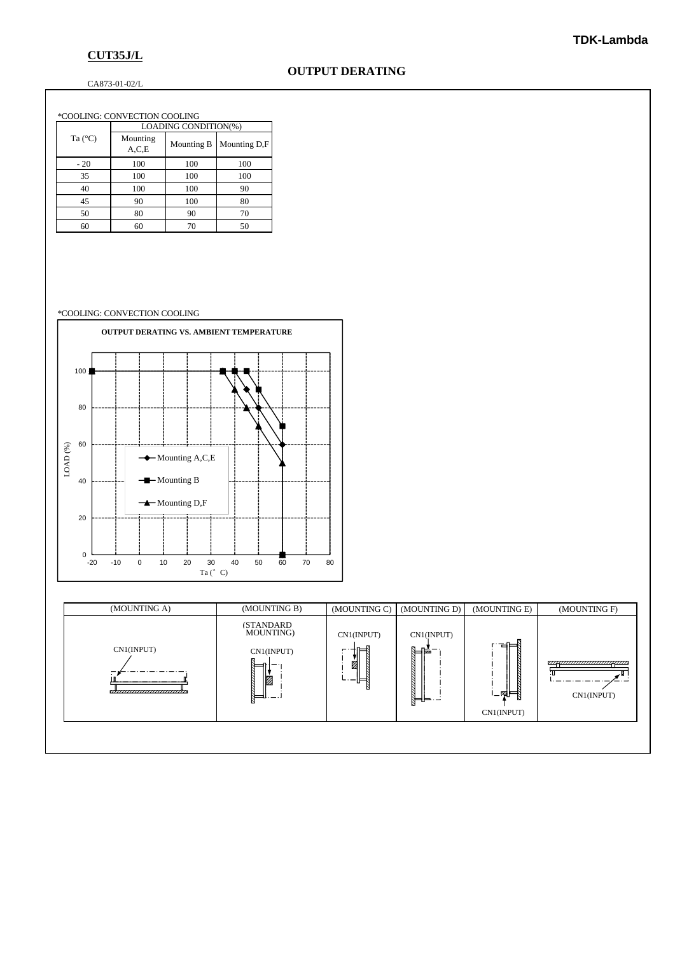# **CUT35J/L**

## **OUTPUT DERATING**

CA873-01-02/L

|  | *COOLING: CONVECTION COOLING |                      |            |              |  |  |  |  |
|--|------------------------------|----------------------|------------|--------------|--|--|--|--|
|  | Ta $(^{\circ}C)$             | LOADING CONDITION(%) |            |              |  |  |  |  |
|  |                              | Mounting<br>A.C.E    | Mounting B | Mounting D,F |  |  |  |  |
|  | $-20$                        | 100                  | 100        | 100          |  |  |  |  |
|  | 35                           | 100                  | 100        | 100          |  |  |  |  |
|  | 40                           | 100                  | 100        | 90           |  |  |  |  |
|  | 45                           | 90                   | 100        | 80           |  |  |  |  |
|  | 50                           | 80                   | 90         | 70           |  |  |  |  |
|  | 60                           | 60                   | 70         | 50           |  |  |  |  |

#### \*COOLING: CONVECTION COOLING



| (MOUNTING A)                                  | (MOUNTING B)                                                | (MOUNTING C)                | (MOUNTING D)                | (MOUNTING E)              | (MOUNTING F)                                 |
|-----------------------------------------------|-------------------------------------------------------------|-----------------------------|-----------------------------|---------------------------|----------------------------------------------|
| CN1(INPUT)<br>,,,,,,,,,,,,,,,,,,,,,,,,,,,,,,, | <b>(STANDARD)</b><br>MOUNTING)<br>CN1(INPUT)<br>ø<br>Ē<br>N | CN1(INPUT)<br>⊫<br>ż<br>∟ਿ∽ | CN1(INPUT)<br>∖⊫¥−<br>╠═╬═┈ | 董⊨<br>।⊥⊞∭⊟<br>CN1(INPUT) | ,,,,,,,,,,,,,,,,,,,,,,,,,,,,,,<br>CN1(INPUT) |
|                                               |                                                             |                             |                             |                           |                                              |